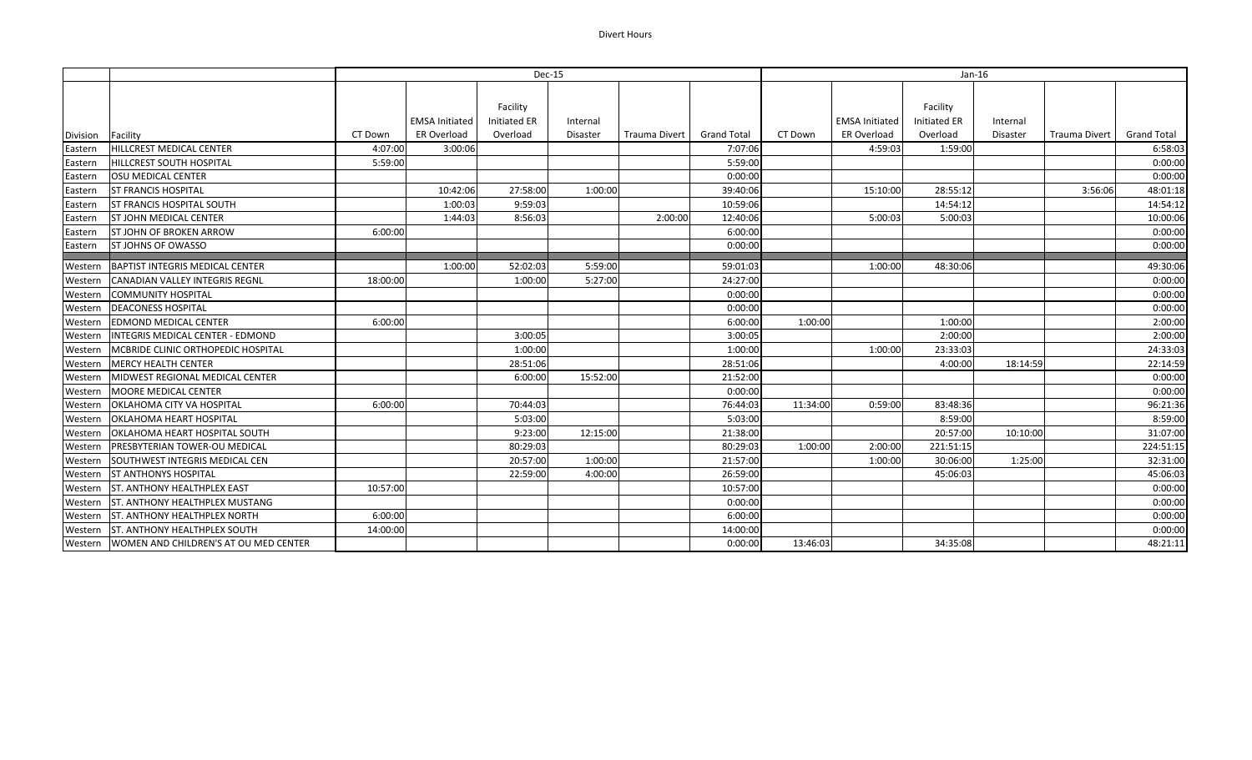## Divert Hours

|          |                                         | Dec-15   |                       |                                 |          |               | Jan-16      |          |                       |                                 |                           |             |
|----------|-----------------------------------------|----------|-----------------------|---------------------------------|----------|---------------|-------------|----------|-----------------------|---------------------------------|---------------------------|-------------|
|          |                                         |          | <b>EMSA Initiated</b> | Facility<br><b>Initiated ER</b> | Internal |               |             |          | <b>EMSA Initiated</b> | Facility<br><b>Initiated ER</b> | Internal                  |             |
| Division | Facility                                | CT Down  | <b>ER Overload</b>    | Overload                        | Disaster | Trauma Divert | Grand Total | CT Down  | <b>ER Overload</b>    | Overload                        | Disaster<br>Trauma Divert | Grand Total |
| Eastern  | <b>HILLCREST MEDICAL CENTER</b>         | 4:07:00  | 3:00:06               |                                 |          |               | 7:07:06     |          | 4:59:03               | 1:59:00                         |                           | 6:58:03     |
| Eastern  | <b>HILLCREST SOUTH HOSPITAL</b>         | 5:59:00  |                       |                                 |          |               | 5:59:00     |          |                       |                                 |                           | 0:00:00     |
| Eastern  | <b>OSU MEDICAL CENTER</b>               |          |                       |                                 |          |               | 0:00:00     |          |                       |                                 |                           | 0:00:00     |
| Eastern  | <b>ST FRANCIS HOSPITAL</b>              |          | 10:42:06              | 27:58:00                        | 1:00:00  |               | 39:40:06    |          | 15:10:00              | 28:55:12                        | 3:56:06                   | 48:01:18    |
| Eastern  | <b>ST FRANCIS HOSPITAL SOUTH</b>        |          | 1:00:03               | 9:59:03                         |          |               | 10:59:06    |          |                       | 14:54:12                        |                           | 14:54:12    |
| Eastern  | <b>ST JOHN MEDICAL CENTER</b>           |          | 1:44:03               | 8:56:03                         |          | 2:00:00       | 12:40:06    |          | 5:00:03               | 5:00:03                         |                           | 10:00:06    |
| Eastern  | <b>ST JOHN OF BROKEN ARROW</b>          | 6:00:00  |                       |                                 |          |               | 6:00:00     |          |                       |                                 |                           | 0:00:00     |
| Eastern  | <b>ST JOHNS OF OWASSO</b>               |          |                       |                                 |          |               | 0:00:00     |          |                       |                                 |                           | 0:00:00     |
| Western  | BAPTIST INTEGRIS MEDICAL CENTER         |          | 1:00:00               | 52:02:03                        | 5:59:00  |               | 59:01:03    |          | 1:00:00               | 48:30:06                        |                           | 49:30:06    |
| Western  | <b>CANADIAN VALLEY INTEGRIS REGNL</b>   | 18:00:00 |                       | 1:00:00                         | 5:27:00  |               | 24:27:00    |          |                       |                                 |                           | 0:00:00     |
| Western  | <b>COMMUNITY HOSPITAL</b>               |          |                       |                                 |          |               | 0:00:00     |          |                       |                                 |                           | 0:00:00     |
| Western  | <b>DEACONESS HOSPITAL</b>               |          |                       |                                 |          |               | 0:00:00     |          |                       |                                 |                           | 0:00:00     |
| Western  | <b>EDMOND MEDICAL CENTER</b>            | 6:00:00  |                       |                                 |          |               | 6:00:00     | 1:00:00  |                       | 1:00:00                         |                           | 2:00:00     |
| Western  | <b>INTEGRIS MEDICAL CENTER - EDMOND</b> |          |                       | 3:00:05                         |          |               | 3:00:05     |          |                       | 2:00:00                         |                           | 2:00:00     |
| Western  | MCBRIDE CLINIC ORTHOPEDIC HOSPITAL      |          |                       | 1:00:00                         |          |               | 1:00:00     |          | 1:00:00               | 23:33:03                        |                           | 24:33:03    |
| Western  | <b>MERCY HEALTH CENTER</b>              |          |                       | 28:51:06                        |          |               | 28:51:06    |          |                       | 4:00:00                         | 18:14:59                  | 22:14:59    |
| Western  | MIDWEST REGIONAL MEDICAL CENTER         |          |                       | 6:00:00                         | 15:52:00 |               | 21:52:00    |          |                       |                                 |                           | 0:00:00     |
| Western  | MOORE MEDICAL CENTER                    |          |                       |                                 |          |               | 0:00:00     |          |                       |                                 |                           | 0:00:00     |
| Western  | <b>OKLAHOMA CITY VA HOSPITAL</b>        | 6:00:00  |                       | 70:44:03                        |          |               | 76:44:03    | 11:34:00 | 0:59:00               | 83:48:36                        |                           | 96:21:36    |
| Western  | <b>OKLAHOMA HEART HOSPITAL</b>          |          |                       | 5:03:00                         |          |               | 5:03:00     |          |                       | 8:59:00                         |                           | 8:59:00     |
| Western  | OKLAHOMA HEART HOSPITAL SOUTH           |          |                       | 9:23:00                         | 12:15:00 |               | 21:38:00    |          |                       | 20:57:00                        | 10:10:00                  | 31:07:00    |
| Western  | <b>PRESBYTERIAN TOWER-OU MEDICAL</b>    |          |                       | 80:29:03                        |          |               | 80:29:03    | 1:00:00  | 2:00:00               | 221:51:15                       |                           | 224:51:15   |
| Western  | SOUTHWEST INTEGRIS MEDICAL CEN          |          |                       | 20:57:00                        | 1:00:00  |               | 21:57:00    |          | 1:00:00               | 30:06:00                        | 1:25:00                   | 32:31:00    |
| Western  | <b>ST ANTHONYS HOSPITAL</b>             |          |                       | 22:59:00                        | 4:00:00  |               | 26:59:00    |          |                       | 45:06:03                        |                           | 45:06:03    |
| Western  | <b>ST. ANTHONY HEALTHPLEX EAST</b>      | 10:57:00 |                       |                                 |          |               | 10:57:00    |          |                       |                                 |                           | 0:00:00     |
| Western  | <b>ST. ANTHONY HEALTHPLEX MUSTANG</b>   |          |                       |                                 |          |               | 0:00:00     |          |                       |                                 |                           | 0:00:00     |
| Western  | <b>ST. ANTHONY HEALTHPLEX NORTH</b>     | 6:00:00  |                       |                                 |          |               | 6:00:00     |          |                       |                                 |                           | 0:00:00     |
| Western  | <b>ST. ANTHONY HEALTHPLEX SOUTH</b>     | 14:00:00 |                       |                                 |          |               | 14:00:00    |          |                       |                                 |                           | 0:00:00     |
| Western  | WOMEN AND CHILDREN'S AT OU MED CENTER   |          |                       |                                 |          |               | 0:00:00     | 13:46:03 |                       | 34:35:08                        |                           | 48:21:11    |